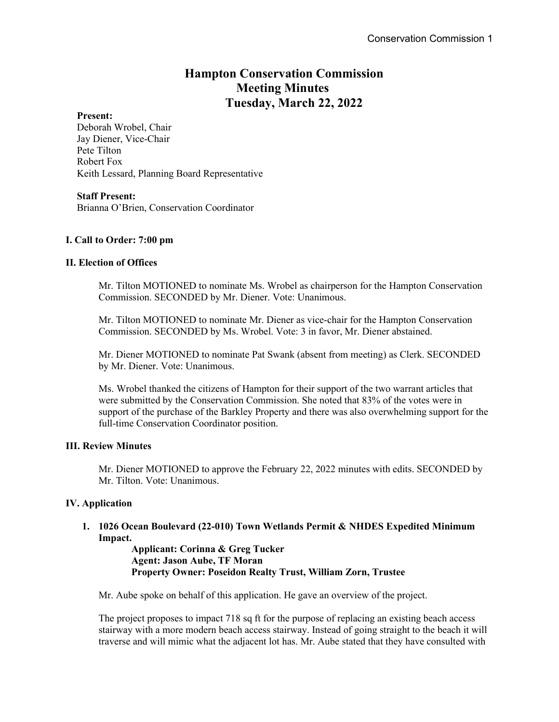# **Hampton Conservation Commission Meeting Minutes Tuesday, March 22, 2022**

### **Present:**

Deborah Wrobel, Chair Jay Diener, Vice-Chair Pete Tilton Robert Fox Keith Lessard, Planning Board Representative

### **Staff Present:**

Brianna O'Brien, Conservation Coordinator

### **I. Call to Order: 7:00 pm**

### **II. Election of Offices**

Mr. Tilton MOTIONED to nominate Ms. Wrobel as chairperson for the Hampton Conservation Commission. SECONDED by Mr. Diener. Vote: Unanimous.

Mr. Tilton MOTIONED to nominate Mr. Diener as vice-chair for the Hampton Conservation Commission. SECONDED by Ms. Wrobel. Vote: 3 in favor, Mr. Diener abstained.

Mr. Diener MOTIONED to nominate Pat Swank (absent from meeting) as Clerk. SECONDED by Mr. Diener. Vote: Unanimous.

Ms. Wrobel thanked the citizens of Hampton for their support of the two warrant articles that were submitted by the Conservation Commission. She noted that 83% of the votes were in support of the purchase of the Barkley Property and there was also overwhelming support for the full-time Conservation Coordinator position.

### **III. Review Minutes**

Mr. Diener MOTIONED to approve the February 22, 2022 minutes with edits. SECONDED by Mr. Tilton. Vote: Unanimous.

### **IV. Application**

**1. 1026 Ocean Boulevard (22-010) Town Wetlands Permit & NHDES Expedited Minimum Impact.** 

> **Applicant: Corinna & Greg Tucker Agent: Jason Aube, TF Moran Property Owner: Poseidon Realty Trust, William Zorn, Trustee**

Mr. Aube spoke on behalf of this application. He gave an overview of the project.

The project proposes to impact 718 sq ft for the purpose of replacing an existing beach access stairway with a more modern beach access stairway. Instead of going straight to the beach it will traverse and will mimic what the adjacent lot has. Mr. Aube stated that they have consulted with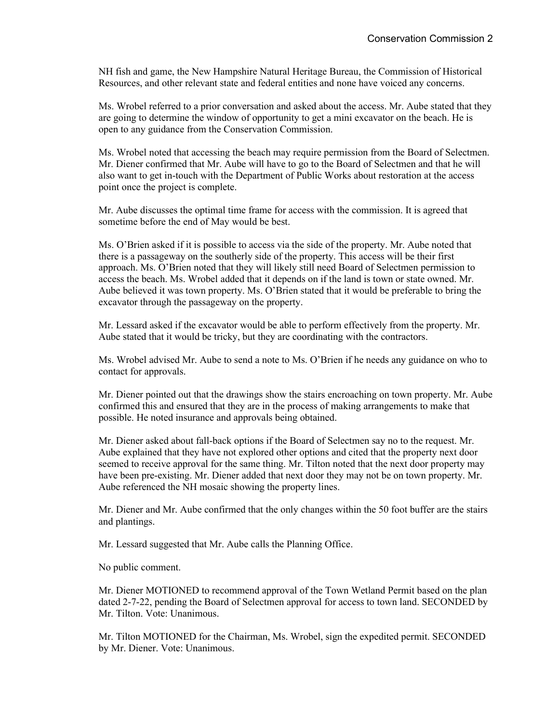NH fish and game, the New Hampshire Natural Heritage Bureau, the Commission of Historical Resources, and other relevant state and federal entities and none have voiced any concerns.

Ms. Wrobel referred to a prior conversation and asked about the access. Mr. Aube stated that they are going to determine the window of opportunity to get a mini excavator on the beach. He is open to any guidance from the Conservation Commission.

Ms. Wrobel noted that accessing the beach may require permission from the Board of Selectmen. Mr. Diener confirmed that Mr. Aube will have to go to the Board of Selectmen and that he will also want to get in-touch with the Department of Public Works about restoration at the access point once the project is complete.

Mr. Aube discusses the optimal time frame for access with the commission. It is agreed that sometime before the end of May would be best.

Ms. O'Brien asked if it is possible to access via the side of the property. Mr. Aube noted that there is a passageway on the southerly side of the property. This access will be their first approach. Ms. O'Brien noted that they will likely still need Board of Selectmen permission to access the beach. Ms. Wrobel added that it depends on if the land is town or state owned. Mr. Aube believed it was town property. Ms. O'Brien stated that it would be preferable to bring the excavator through the passageway on the property.

Mr. Lessard asked if the excavator would be able to perform effectively from the property. Mr. Aube stated that it would be tricky, but they are coordinating with the contractors.

Ms. Wrobel advised Mr. Aube to send a note to Ms. O'Brien if he needs any guidance on who to contact for approvals.

Mr. Diener pointed out that the drawings show the stairs encroaching on town property. Mr. Aube confirmed this and ensured that they are in the process of making arrangements to make that possible. He noted insurance and approvals being obtained.

Mr. Diener asked about fall-back options if the Board of Selectmen say no to the request. Mr. Aube explained that they have not explored other options and cited that the property next door seemed to receive approval for the same thing. Mr. Tilton noted that the next door property may have been pre-existing. Mr. Diener added that next door they may not be on town property. Mr. Aube referenced the NH mosaic showing the property lines.

Mr. Diener and Mr. Aube confirmed that the only changes within the 50 foot buffer are the stairs and plantings.

Mr. Lessard suggested that Mr. Aube calls the Planning Office.

No public comment.

Mr. Diener MOTIONED to recommend approval of the Town Wetland Permit based on the plan dated 2-7-22, pending the Board of Selectmen approval for access to town land. SECONDED by Mr. Tilton. Vote: Unanimous.

Mr. Tilton MOTIONED for the Chairman, Ms. Wrobel, sign the expedited permit. SECONDED by Mr. Diener. Vote: Unanimous.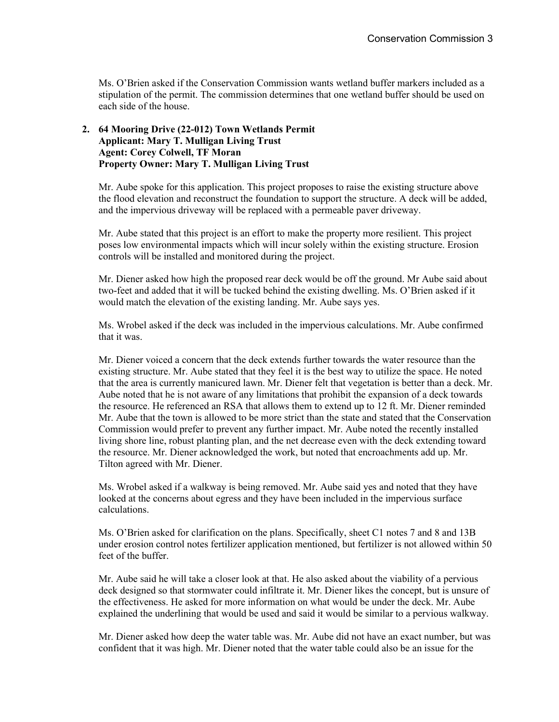Ms. O'Brien asked if the Conservation Commission wants wetland buffer markers included as a stipulation of the permit. The commission determines that one wetland buffer should be used on each side of the house.

### **2. 64 Mooring Drive (22-012) Town Wetlands Permit Applicant: Mary T. Mulligan Living Trust Agent: Corey Colwell, TF Moran Property Owner: Mary T. Mulligan Living Trust**

Mr. Aube spoke for this application. This project proposes to raise the existing structure above the flood elevation and reconstruct the foundation to support the structure. A deck will be added, and the impervious driveway will be replaced with a permeable paver driveway.

Mr. Aube stated that this project is an effort to make the property more resilient. This project poses low environmental impacts which will incur solely within the existing structure. Erosion controls will be installed and monitored during the project.

Mr. Diener asked how high the proposed rear deck would be off the ground. Mr Aube said about two-feet and added that it will be tucked behind the existing dwelling. Ms. O'Brien asked if it would match the elevation of the existing landing. Mr. Aube says yes.

Ms. Wrobel asked if the deck was included in the impervious calculations. Mr. Aube confirmed that it was.

Mr. Diener voiced a concern that the deck extends further towards the water resource than the existing structure. Mr. Aube stated that they feel it is the best way to utilize the space. He noted that the area is currently manicured lawn. Mr. Diener felt that vegetation is better than a deck. Mr. Aube noted that he is not aware of any limitations that prohibit the expansion of a deck towards the resource. He referenced an RSA that allows them to extend up to 12 ft. Mr. Diener reminded Mr. Aube that the town is allowed to be more strict than the state and stated that the Conservation Commission would prefer to prevent any further impact. Mr. Aube noted the recently installed living shore line, robust planting plan, and the net decrease even with the deck extending toward the resource. Mr. Diener acknowledged the work, but noted that encroachments add up. Mr. Tilton agreed with Mr. Diener.

Ms. Wrobel asked if a walkway is being removed. Mr. Aube said yes and noted that they have looked at the concerns about egress and they have been included in the impervious surface calculations.

Ms. O'Brien asked for clarification on the plans. Specifically, sheet C1 notes 7 and 8 and 13B under erosion control notes fertilizer application mentioned, but fertilizer is not allowed within 50 feet of the buffer.

Mr. Aube said he will take a closer look at that. He also asked about the viability of a pervious deck designed so that stormwater could infiltrate it. Mr. Diener likes the concept, but is unsure of the effectiveness. He asked for more information on what would be under the deck. Mr. Aube explained the underlining that would be used and said it would be similar to a pervious walkway.

Mr. Diener asked how deep the water table was. Mr. Aube did not have an exact number, but was confident that it was high. Mr. Diener noted that the water table could also be an issue for the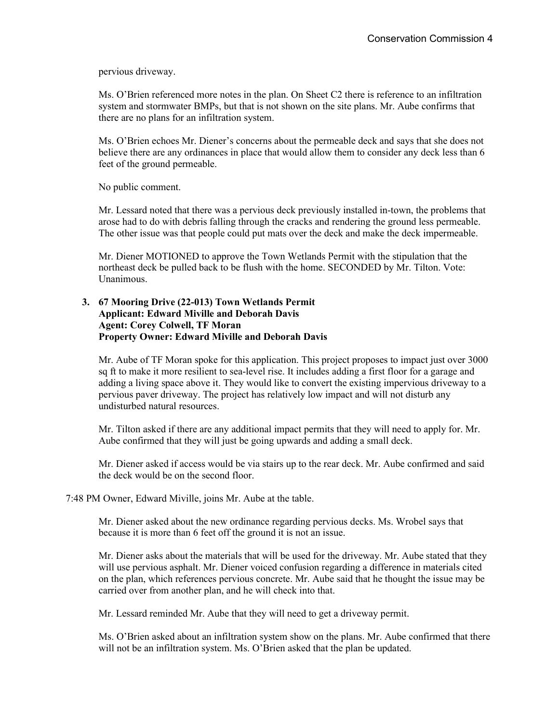pervious driveway.

Ms. O'Brien referenced more notes in the plan. On Sheet C2 there is reference to an infiltration system and stormwater BMPs, but that is not shown on the site plans. Mr. Aube confirms that there are no plans for an infiltration system.

Ms. O'Brien echoes Mr. Diener's concerns about the permeable deck and says that she does not believe there are any ordinances in place that would allow them to consider any deck less than 6 feet of the ground permeable.

No public comment.

Mr. Lessard noted that there was a pervious deck previously installed in-town, the problems that arose had to do with debris falling through the cracks and rendering the ground less permeable. The other issue was that people could put mats over the deck and make the deck impermeable.

Mr. Diener MOTIONED to approve the Town Wetlands Permit with the stipulation that the northeast deck be pulled back to be flush with the home. SECONDED by Mr. Tilton. Vote: Unanimous.

### **3. 67 Mooring Drive (22-013) Town Wetlands Permit Applicant: Edward Miville and Deborah Davis Agent: Corey Colwell, TF Moran Property Owner: Edward Miville and Deborah Davis**

Mr. Aube of TF Moran spoke for this application. This project proposes to impact just over 3000 sq ft to make it more resilient to sea-level rise. It includes adding a first floor for a garage and adding a living space above it. They would like to convert the existing impervious driveway to a pervious paver driveway. The project has relatively low impact and will not disturb any undisturbed natural resources.

Mr. Tilton asked if there are any additional impact permits that they will need to apply for. Mr. Aube confirmed that they will just be going upwards and adding a small deck.

Mr. Diener asked if access would be via stairs up to the rear deck. Mr. Aube confirmed and said the deck would be on the second floor.

#### 7:48 PM Owner, Edward Miville, joins Mr. Aube at the table.

Mr. Diener asked about the new ordinance regarding pervious decks. Ms. Wrobel says that because it is more than 6 feet off the ground it is not an issue.

Mr. Diener asks about the materials that will be used for the driveway. Mr. Aube stated that they will use pervious asphalt. Mr. Diener voiced confusion regarding a difference in materials cited on the plan, which references pervious concrete. Mr. Aube said that he thought the issue may be carried over from another plan, and he will check into that.

Mr. Lessard reminded Mr. Aube that they will need to get a driveway permit.

Ms. O'Brien asked about an infiltration system show on the plans. Mr. Aube confirmed that there will not be an infiltration system. Ms. O'Brien asked that the plan be updated.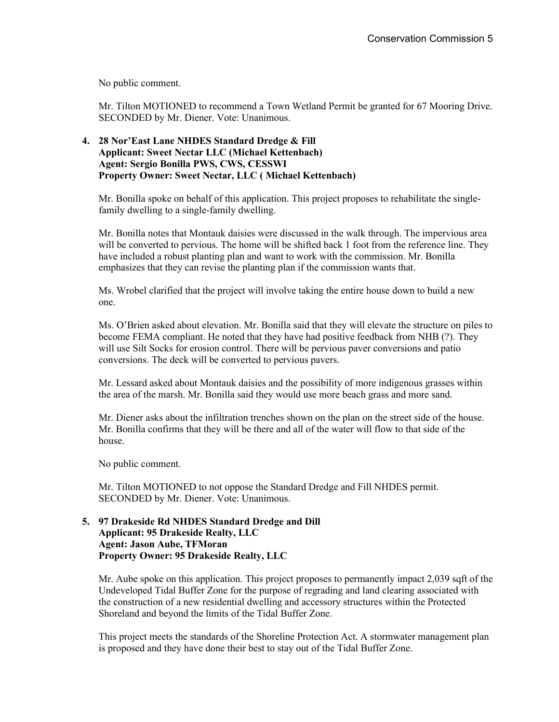No public comment.

Mr. Tilton MOTIONED to recommend a Town Wetland Permit be granted for 67 Mooring Drive. SECONDED by Mr. Diener. Vote: Unanimous.

# **4. 28 Nor'East Lane NHDES Standard Dredge & Fill Applicant: Sweet Nectar LLC (Michael Kettenbach) Agent: Sergio Bonilla PWS, CWS, CESSWI Property Owner: Sweet Nectar, LLC ( Michael Kettenbach)**

Mr. Bonilla spoke on behalf of this application. This project proposes to rehabilitate the singlefamily dwelling to a single-family dwelling.

Mr. Bonilla notes that Montauk daisies were discussed in the walk through. The impervious area will be converted to pervious. The home will be shifted back 1 foot from the reference line. They have included a robust planting plan and want to work with the commission. Mr. Bonilla emphasizes that they can revise the planting plan if the commission wants that.

Ms. Wrobel clarified that the project will involve taking the entire house down to build a new one.

Ms. O'Brien asked about elevation. Mr. Bonilla said that they will elevate the structure on piles to become FEMA compliant. He noted that they have had positive feedback from NHB (?). They will use Silt Socks for erosion control. There will be pervious paver conversions and patio conversions. The deck will be converted to pervious pavers.

Mr. Lessard asked about Montauk daisies and the possibility of more indigenous grasses within the area of the marsh. Mr. Bonilla said they would use more beach grass and more sand.

Mr. Diener asks about the infiltration trenches shown on the plan on the street side of the house. Mr. Bonilla confirms that they will be there and all of the water will flow to that side of the house.

No public comment.

Mr. Tilton MOTIONED to not oppose the Standard Dredge and Fill NHDES permit. SECONDED by Mr. Diener. Vote: Unanimous.

# **5. 97 Drakeside Rd NHDES Standard Dredge and Dill Applicant: 95 Drakeside Realty, LLC Agent: Jason Aube, TFMoran Property Owner: 95 Drakeside Realty, LLC**

Mr. Aube spoke on this application. This project proposes to permanently impact 2,039 sqft of the Undeveloped Tidal Buffer Zone for the purpose of regrading and land clearing associated with the construction of a new residential dwelling and accessory structures within the Protected Shoreland and beyond the limits of the Tidal Buffer Zone.

This project meets the standards of the Shoreline Protection Act. A stormwater management plan is proposed and they have done their best to stay out of the Tidal Buffer Zone.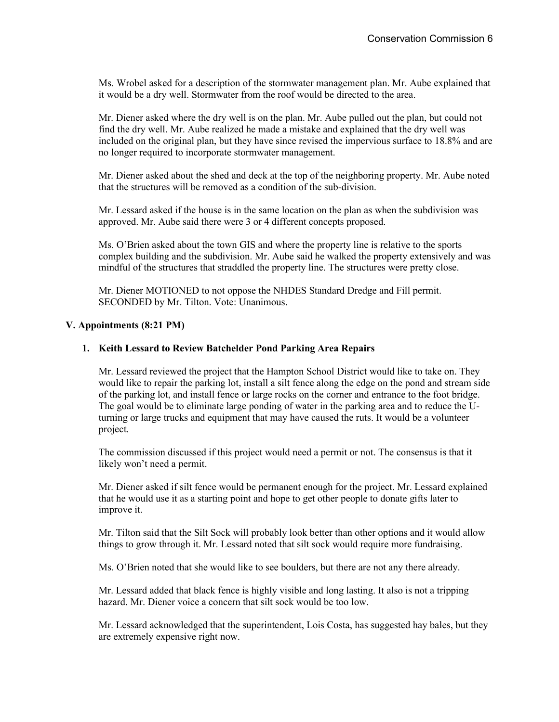Ms. Wrobel asked for a description of the stormwater management plan. Mr. Aube explained that it would be a dry well. Stormwater from the roof would be directed to the area.

Mr. Diener asked where the dry well is on the plan. Mr. Aube pulled out the plan, but could not find the dry well. Mr. Aube realized he made a mistake and explained that the dry well was included on the original plan, but they have since revised the impervious surface to 18.8% and are no longer required to incorporate stormwater management.

Mr. Diener asked about the shed and deck at the top of the neighboring property. Mr. Aube noted that the structures will be removed as a condition of the sub-division.

Mr. Lessard asked if the house is in the same location on the plan as when the subdivision was approved. Mr. Aube said there were 3 or 4 different concepts proposed.

Ms. O'Brien asked about the town GIS and where the property line is relative to the sports complex building and the subdivision. Mr. Aube said he walked the property extensively and was mindful of the structures that straddled the property line. The structures were pretty close.

Mr. Diener MOTIONED to not oppose the NHDES Standard Dredge and Fill permit. SECONDED by Mr. Tilton. Vote: Unanimous.

### **V. Appointments (8:21 PM)**

#### **1. Keith Lessard to Review Batchelder Pond Parking Area Repairs**

Mr. Lessard reviewed the project that the Hampton School District would like to take on. They would like to repair the parking lot, install a silt fence along the edge on the pond and stream side of the parking lot, and install fence or large rocks on the corner and entrance to the foot bridge. The goal would be to eliminate large ponding of water in the parking area and to reduce the Uturning or large trucks and equipment that may have caused the ruts. It would be a volunteer project.

The commission discussed if this project would need a permit or not. The consensus is that it likely won't need a permit.

Mr. Diener asked if silt fence would be permanent enough for the project. Mr. Lessard explained that he would use it as a starting point and hope to get other people to donate gifts later to improve it.

Mr. Tilton said that the Silt Sock will probably look better than other options and it would allow things to grow through it. Mr. Lessard noted that silt sock would require more fundraising.

Ms. O'Brien noted that she would like to see boulders, but there are not any there already.

Mr. Lessard added that black fence is highly visible and long lasting. It also is not a tripping hazard. Mr. Diener voice a concern that silt sock would be too low.

Mr. Lessard acknowledged that the superintendent, Lois Costa, has suggested hay bales, but they are extremely expensive right now.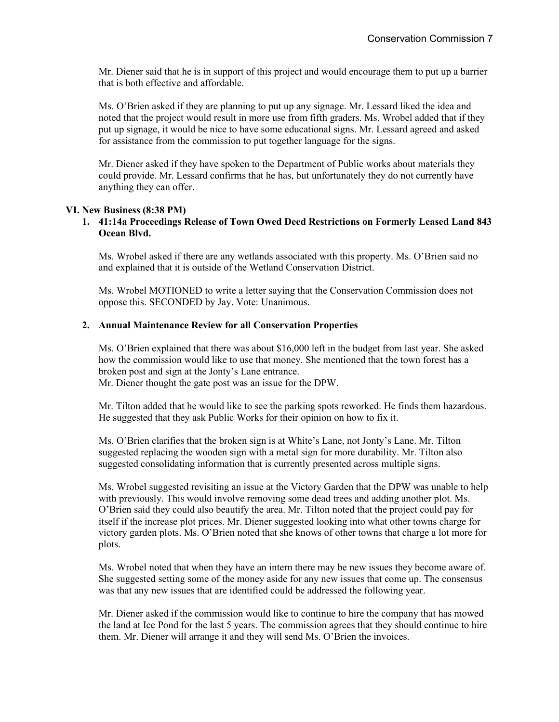Mr. Diener said that he is in support of this project and would encourage them to put up a barrier that is both effective and affordable.

Ms. O'Brien asked if they are planning to put up any signage. Mr. Lessard liked the idea and noted that the project would result in more use from fifth graders. Ms. Wrobel added that if they put up signage, it would be nice to have some educational signs. Mr. Lessard agreed and asked for assistance from the commission to put together language for the signs.

Mr. Diener asked if they have spoken to the Department of Public works about materials they could provide. Mr. Lessard confirms that he has, but unfortunately they do not currently have anything they can offer.

### **VI. New Business (8:38 PM)**

### **1. 41:14a Proceedings Release of Town Owed Deed Restrictions on Formerly Leased Land 843 Ocean Blvd.**

Ms. Wrobel asked if there are any wetlands associated with this property. Ms. O'Brien said no and explained that it is outside of the Wetland Conservation District.

Ms. Wrobel MOTIONED to write a letter saying that the Conservation Commission does not oppose this. SECONDED by Jay. Vote: Unanimous.

### **2. Annual Maintenance Review for all Conservation Properties**

Ms. O'Brien explained that there was about \$16,000 left in the budget from last year. She asked how the commission would like to use that money. She mentioned that the town forest has a broken post and sign at the Jonty's Lane entrance.

Mr. Diener thought the gate post was an issue for the DPW.

Mr. Tilton added that he would like to see the parking spots reworked. He finds them hazardous. He suggested that they ask Public Works for their opinion on how to fix it.

Ms. O'Brien clarifies that the broken sign is at White's Lane, not Jonty's Lane. Mr. Tilton suggested replacing the wooden sign with a metal sign for more durability. Mr. Tilton also suggested consolidating information that is currently presented across multiple signs.

Ms. Wrobel suggested revisiting an issue at the Victory Garden that the DPW was unable to help with previously. This would involve removing some dead trees and adding another plot. Ms. O'Brien said they could also beautify the area. Mr. Tilton noted that the project could pay for itself if the increase plot prices. Mr. Diener suggested looking into what other towns charge for victory garden plots. Ms. O'Brien noted that she knows of other towns that charge a lot more for plots.

Ms. Wrobel noted that when they have an intern there may be new issues they become aware of. She suggested setting some of the money aside for any new issues that come up. The consensus was that any new issues that are identified could be addressed the following year.

Mr. Diener asked if the commission would like to continue to hire the company that has mowed the land at Ice Pond for the last 5 years. The commission agrees that they should continue to hire them. Mr. Diener will arrange it and they will send Ms. O'Brien the invoices.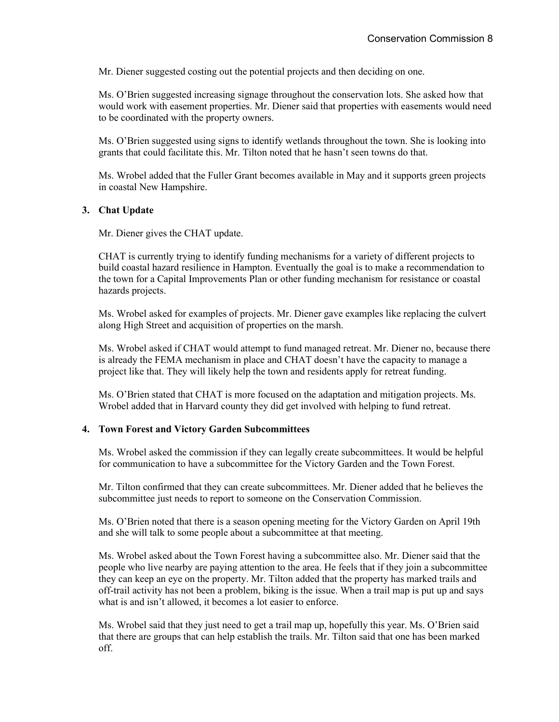Mr. Diener suggested costing out the potential projects and then deciding on one.

Ms. O'Brien suggested increasing signage throughout the conservation lots. She asked how that would work with easement properties. Mr. Diener said that properties with easements would need to be coordinated with the property owners.

Ms. O'Brien suggested using signs to identify wetlands throughout the town. She is looking into grants that could facilitate this. Mr. Tilton noted that he hasn't seen towns do that.

Ms. Wrobel added that the Fuller Grant becomes available in May and it supports green projects in coastal New Hampshire.

### **3. Chat Update**

Mr. Diener gives the CHAT update.

CHAT is currently trying to identify funding mechanisms for a variety of different projects to build coastal hazard resilience in Hampton. Eventually the goal is to make a recommendation to the town for a Capital Improvements Plan or other funding mechanism for resistance or coastal hazards projects.

Ms. Wrobel asked for examples of projects. Mr. Diener gave examples like replacing the culvert along High Street and acquisition of properties on the marsh.

Ms. Wrobel asked if CHAT would attempt to fund managed retreat. Mr. Diener no, because there is already the FEMA mechanism in place and CHAT doesn't have the capacity to manage a project like that. They will likely help the town and residents apply for retreat funding.

Ms. O'Brien stated that CHAT is more focused on the adaptation and mitigation projects. Ms. Wrobel added that in Harvard county they did get involved with helping to fund retreat.

#### **4. Town Forest and Victory Garden Subcommittees**

Ms. Wrobel asked the commission if they can legally create subcommittees. It would be helpful for communication to have a subcommittee for the Victory Garden and the Town Forest.

Mr. Tilton confirmed that they can create subcommittees. Mr. Diener added that he believes the subcommittee just needs to report to someone on the Conservation Commission.

Ms. O'Brien noted that there is a season opening meeting for the Victory Garden on April 19th and she will talk to some people about a subcommittee at that meeting.

Ms. Wrobel asked about the Town Forest having a subcommittee also. Mr. Diener said that the people who live nearby are paying attention to the area. He feels that if they join a subcommittee they can keep an eye on the property. Mr. Tilton added that the property has marked trails and off-trail activity has not been a problem, biking is the issue. When a trail map is put up and says what is and isn't allowed, it becomes a lot easier to enforce.

Ms. Wrobel said that they just need to get a trail map up, hopefully this year. Ms. O'Brien said that there are groups that can help establish the trails. Mr. Tilton said that one has been marked off.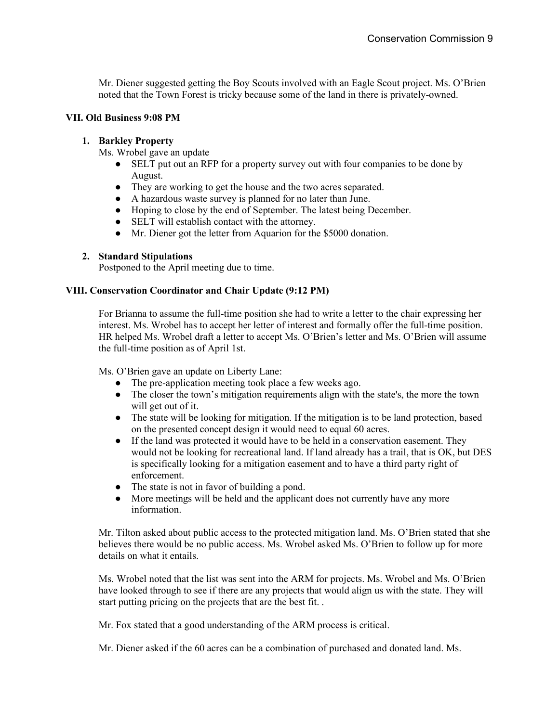Mr. Diener suggested getting the Boy Scouts involved with an Eagle Scout project. Ms. O'Brien noted that the Town Forest is tricky because some of the land in there is privately-owned.

# **VII. Old Business 9:08 PM**

### **1. Barkley Property**

Ms. Wrobel gave an update

- SELT put out an RFP for a property survey out with four companies to be done by August.
- They are working to get the house and the two acres separated.
- A hazardous waste survey is planned for no later than June.
- Hoping to close by the end of September. The latest being December.
- SELT will establish contact with the attorney.
- Mr. Diener got the letter from Aquarion for the \$5000 donation.

### **2. Standard Stipulations**

Postponed to the April meeting due to time.

# **VIII. Conservation Coordinator and Chair Update (9:12 PM)**

For Brianna to assume the full-time position she had to write a letter to the chair expressing her interest. Ms. Wrobel has to accept her letter of interest and formally offer the full-time position. HR helped Ms. Wrobel draft a letter to accept Ms. O'Brien's letter and Ms. O'Brien will assume the full-time position as of April 1st.

Ms. O'Brien gave an update on Liberty Lane:

- The pre-application meeting took place a few weeks ago.
- The closer the town's mitigation requirements align with the state's, the more the town will get out of it.
- The state will be looking for mitigation. If the mitigation is to be land protection, based on the presented concept design it would need to equal 60 acres.
- If the land was protected it would have to be held in a conservation easement. They would not be looking for recreational land. If land already has a trail, that is OK, but DES is specifically looking for a mitigation easement and to have a third party right of enforcement.
- The state is not in favor of building a pond.
- More meetings will be held and the applicant does not currently have any more information.

Mr. Tilton asked about public access to the protected mitigation land. Ms. O'Brien stated that she believes there would be no public access. Ms. Wrobel asked Ms. O'Brien to follow up for more details on what it entails.

Ms. Wrobel noted that the list was sent into the ARM for projects. Ms. Wrobel and Ms. O'Brien have looked through to see if there are any projects that would align us with the state. They will start putting pricing on the projects that are the best fit. .

Mr. Fox stated that a good understanding of the ARM process is critical.

Mr. Diener asked if the 60 acres can be a combination of purchased and donated land. Ms.